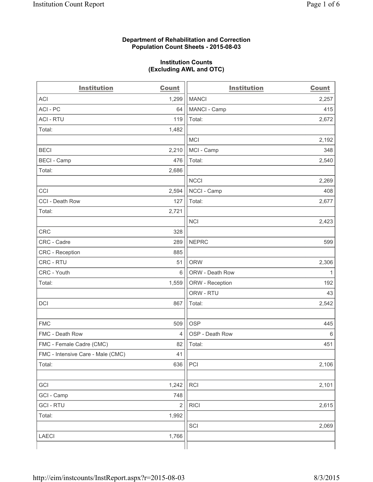#### **Department of Rehabilitation and Correction Population Count Sheets - 2015-08-03**

#### **Institution Counts (Excluding AWL and OTC)**

| <b>Institution</b>                | <b>Count</b>   | <b>Institution</b> | <b>Count</b> |
|-----------------------------------|----------------|--------------------|--------------|
| <b>ACI</b>                        | 1,299          | <b>MANCI</b>       | 2,257        |
| ACI-PC                            | 64             | MANCI - Camp       | 415          |
| <b>ACI - RTU</b>                  | 119            | Total:             | 2,672        |
| Total:                            | 1,482          |                    |              |
|                                   |                | <b>MCI</b>         | 2,192        |
| <b>BECI</b>                       | 2,210          | MCI - Camp         | 348          |
| <b>BECI</b> - Camp                | 476            | Total:             | 2,540        |
| Total:                            | 2,686          |                    |              |
|                                   |                | <b>NCCI</b>        | 2,269        |
| CCI                               | 2,594          | NCCI - Camp        | 408          |
| CCI - Death Row                   | 127            | Total:             | 2,677        |
| Total:                            | 2,721          |                    |              |
|                                   |                | <b>NCI</b>         | 2,423        |
| <b>CRC</b>                        | 328            |                    |              |
| CRC - Cadre                       | 289            | <b>NEPRC</b>       | 599          |
| CRC - Reception                   | 885            |                    |              |
| CRC - RTU                         | 51             | <b>ORW</b>         | 2,306        |
| CRC - Youth                       | 6              | ORW - Death Row    | 1            |
| Total:                            | 1,559          | ORW - Reception    | 192          |
|                                   |                | ORW - RTU          | 43           |
| DCI                               | 867            | Total:             | 2,542        |
|                                   |                |                    |              |
| <b>FMC</b>                        | 509            | <b>OSP</b>         | 445          |
| FMC - Death Row                   | $\overline{4}$ | OSP - Death Row    | 6            |
| FMC - Female Cadre (CMC)          | 82             | Total:             | 451          |
| FMC - Intensive Care - Male (CMC) | 41             |                    |              |
| Total:                            | 636            | PCI                | 2,106        |
|                                   |                |                    |              |
| GCI                               | 1,242          | RCI                | 2,101        |
| GCI - Camp                        | 748            |                    |              |
| <b>GCI-RTU</b>                    | $\sqrt{2}$     | <b>RICI</b>        | 2,615        |
| Total:                            | 1,992          |                    |              |
|                                   |                | SCI                | 2,069        |
| LAECI                             | 1,766          |                    |              |
|                                   |                |                    |              |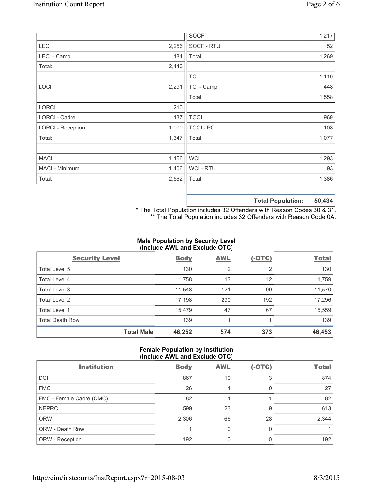|                          |       | <b>SOCF</b>      | 1,217                                |
|--------------------------|-------|------------------|--------------------------------------|
| <b>LECI</b>              | 2,256 | SOCF - RTU       | 52                                   |
| LECI - Camp              | 184   | Total:           | 1,269                                |
| Total:                   | 2,440 |                  |                                      |
|                          |       | <b>TCI</b>       | 1,110                                |
| LOCI                     | 2,291 | TCI - Camp       | 448                                  |
|                          |       | Total:           | 1,558                                |
| <b>LORCI</b>             | 210   |                  |                                      |
| LORCI - Cadre            | 137   | <b>TOCI</b>      | 969                                  |
| <b>LORCI - Reception</b> | 1,000 | <b>TOCI - PC</b> | 108                                  |
| Total:                   | 1,347 | Total:           | 1,077                                |
|                          |       |                  |                                      |
| <b>MACI</b>              | 1,156 | <b>WCI</b>       | 1,293                                |
| MACI - Minimum           | 1,406 | WCI - RTU        | 93                                   |
| Total:                   | 2,562 | Total:           | 1,386                                |
|                          |       |                  |                                      |
|                          |       |                  | <b>FO. 404</b><br>アスキュレ ロス ふうけんどうしょう |

**Total Population: 50,434**

\* The Total Population includes 32 Offenders with Reason Codes 30 & 31. \*\* The Total Population includes 32 Offenders with Reason Code 0A.

# **Male Population by Security Level (Include AWL and Exclude OTC)**

| <b>Security Level</b>  |                   | <b>Body</b> | <b>AWL</b>     | $(-OTC)$ | <b>Total</b> |
|------------------------|-------------------|-------------|----------------|----------|--------------|
| Total Level 5          |                   | 130         | $\overline{2}$ | 2        | 130          |
| Total Level 4          |                   | 1,758       | 13             | 12       | 1,759        |
| Total Level 3          |                   | 11,548      | 121            | 99       | 11,570       |
| Total Level 2          |                   | 17,198      | 290            | 192      | 17,296       |
| <b>Total Level 1</b>   |                   | 15,479      | 147            | 67       | 15,559       |
| <b>Total Death Row</b> |                   | 139         |                |          | 139          |
|                        | <b>Total Male</b> | 46,252      | 574            | 373      | 46,453       |

#### **Female Population by Institution (Include AWL and Exclude OTC)**

| <b>Institution</b>       | <b>Body</b> | <b>AWL</b> | $(-OTC)$ | <b>Total</b> |  |  |
|--------------------------|-------------|------------|----------|--------------|--|--|
| <b>DCI</b>               | 867         | 10         | 3        | 874          |  |  |
| <b>FMC</b>               | 26          |            | 0        | 27           |  |  |
| FMC - Female Cadre (CMC) | 82          |            |          | 82           |  |  |
| <b>NEPRC</b>             | 599         | 23         | 9        | 613          |  |  |
| <b>ORW</b>               | 2,306       | 66         | 28       | 2,344        |  |  |
| <b>ORW - Death Row</b>   |             | 0          | 0        |              |  |  |
| ORW - Reception          | 192         | Ω          | 0        | 192          |  |  |
|                          |             |            |          |              |  |  |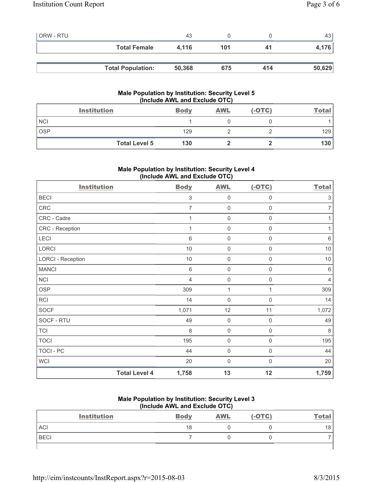| <b>ORW - RTU</b> |                          | 43     |     |     | 43 l   |
|------------------|--------------------------|--------|-----|-----|--------|
|                  | <b>Total Female</b>      | 4.116  | 101 | 41  | 4,176  |
|                  |                          |        |     |     |        |
|                  | <b>Total Population:</b> | 50,368 | 675 | 414 | 50,629 |

# **Male Population by Institution: Security Level 5 (Include AWL and Exclude OTC)**

|            | <b>Institution</b>   | <b>Body</b> | <b>AWL</b> | $(-OTC)$ | <b>Total</b> |
|------------|----------------------|-------------|------------|----------|--------------|
| <b>NCI</b> |                      |             |            |          |              |
| <b>OSP</b> |                      | 129         |            |          | 129          |
|            | <b>Total Level 5</b> | 130         |            |          | 130          |

# **Male Population by Institution: Security Level 4 (Include AWL and Exclude OTC)**

| <b>Institution</b>       |                      | <b>Body</b>               | <b>AWL</b>          | $(-OTC)$            | <b>Total</b>   |
|--------------------------|----------------------|---------------------------|---------------------|---------------------|----------------|
| <b>BECI</b>              |                      | $\ensuremath{\mathsf{3}}$ | 0                   | $\boldsymbol{0}$    | 3              |
| CRC                      |                      | $\overline{7}$            | 0                   | $\boldsymbol{0}$    | 7              |
| CRC - Cadre              |                      | 1                         | 0                   | $\mathbf 0$         | 1              |
| CRC - Reception          |                      | 1                         | $\mathsf{O}\xspace$ | $\mathsf{O}\xspace$ | 1              |
| LECI                     |                      | $6\phantom{1}$            | $\mathbf 0$         | $\boldsymbol{0}$    | $\,6\,$        |
| LORCI                    |                      | $10$                      | $\mathsf{O}\xspace$ | $\mathsf{O}\xspace$ | $10$           |
| <b>LORCI - Reception</b> |                      | $10$                      | $\mathsf{O}\xspace$ | $\mathsf{O}\xspace$ | $10$           |
| <b>MANCI</b>             |                      | $6\,$                     | $\mathsf{O}\xspace$ | $\mathsf 0$         | $\,6\,$        |
| <b>NCI</b>               |                      | $\overline{4}$            | $\mathsf{O}\xspace$ | 0                   | $\overline{4}$ |
| <b>OSP</b>               |                      | 309                       | 1                   |                     | 309            |
| <b>RCI</b>               |                      | 14                        | $\mathbf 0$         | $\boldsymbol{0}$    | 14             |
| <b>SOCF</b>              |                      | 1,071                     | 12                  | 11                  | 1,072          |
| SOCF - RTU               |                      | 49                        | $\mathbf 0$         | $\mathbf 0$         | 49             |
| <b>TCI</b>               |                      | 8                         | $\mathbf 0$         | $\mathbf 0$         | 8              |
| <b>TOCI</b>              |                      | 195                       | $\mathbf 0$         | $\mathbf 0$         | 195            |
| TOCI - PC                |                      | 44                        | 0                   | $\mathsf{0}$        | 44             |
| <b>WCI</b>               |                      | 20                        | $\mathbf 0$         | 0                   | 20             |
|                          | <b>Total Level 4</b> | 1,758                     | 13                  | 12                  | 1,759          |

#### **Male Population by Institution: Security Level 3 (Include AWL and Exclude OTC)**

| <b>Institution</b> | <b>Body</b> | <b>AWL</b> | $(-OTC)$ | <b>Total</b> |
|--------------------|-------------|------------|----------|--------------|
| ACI                | 18          |            |          | 18           |
| <b>BECI</b>        |             |            |          |              |
|                    |             |            |          |              |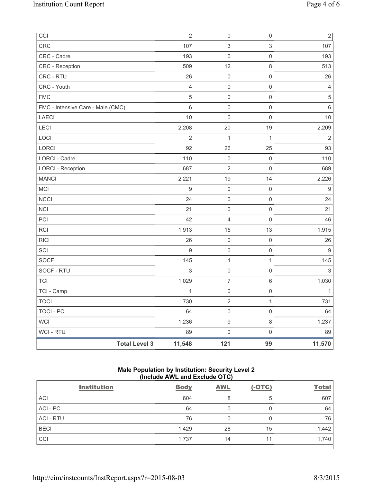| CCI                               | $\sqrt{2}$     | $\mathsf 0$         | $\mathsf{O}\xspace$ | $\overline{c}$ |
|-----------------------------------|----------------|---------------------|---------------------|----------------|
| <b>CRC</b>                        | 107            | 3                   | 3                   | 107            |
| CRC - Cadre                       | 193            | 0                   | $\mathsf{O}\xspace$ | 193            |
| CRC - Reception                   | 509            | 12                  | 8                   | 513            |
| CRC - RTU                         | 26             | $\mathsf 0$         | $\mathsf{O}\xspace$ | 26             |
| CRC - Youth                       | $\overline{4}$ | $\mathsf{O}\xspace$ | $\mathsf{O}\xspace$ | $\overline{4}$ |
| <b>FMC</b>                        | $\sqrt{5}$     | 0                   | $\mathsf{O}\xspace$ | 5              |
| FMC - Intensive Care - Male (CMC) | 6              | 0                   | 0                   | 6              |
| LAECI                             | 10             | $\mathsf{O}\xspace$ | $\mathsf{O}\xspace$ | 10             |
| LECI                              | 2,208          | 20                  | 19                  | 2,209          |
| LOCI                              | $\overline{2}$ | $\mathbf{1}$        | $\mathbf{1}$        | $\overline{2}$ |
| LORCI                             | 92             | 26                  | 25                  | 93             |
| LORCI - Cadre                     | 110            | $\mathsf{O}\xspace$ | $\mathsf{O}\xspace$ | 110            |
| <b>LORCI - Reception</b>          | 687            | $\sqrt{2}$          | $\mathsf{0}$        | 689            |
| <b>MANCI</b>                      | 2,221          | 19                  | 14                  | 2,226          |
| <b>MCI</b>                        | 9              | $\mathsf{O}\xspace$ | $\mathsf{O}\xspace$ | 9              |
| <b>NCCI</b>                       | 24             | $\mathsf{O}\xspace$ | $\mathsf 0$         | 24             |
| NCI                               | 21             | 0                   | $\mathsf 0$         | 21             |
| PCI                               | 42             | 4                   | $\mathsf{0}$        | 46             |
| <b>RCI</b>                        | 1,913          | 15                  | 13                  | 1,915          |
| <b>RICI</b>                       | 26             | $\mathsf{O}\xspace$ | $\mathsf{O}\xspace$ | 26             |
| SCI                               | $9\,$          | $\mathsf 0$         | $\mathsf 0$         | $9\,$          |
| SOCF                              | 145            | $\mathbf 1$         | $\mathbf{1}$        | 145            |
| SOCF - RTU                        | $\mathbf{3}$   | $\mathsf{O}\xspace$ | $\mathsf{O}\xspace$ | $\mathfrak{S}$ |
| <b>TCI</b>                        | 1,029          | $\overline{7}$      | $\,6\,$             | 1,030          |
| TCI - Camp                        | $\mathbf{1}$   | $\mathsf 0$         | $\mathsf 0$         |                |
| <b>TOCI</b>                       | 730            | $\mathbf 2$         | $\mathbf{1}$        | 731            |
| <b>TOCI - PC</b>                  | 64             | $\mathsf{O}\xspace$ | $\mathsf 0$         | 64             |
| <b>WCI</b>                        | 1,236          | $\hbox{9}$          | $\,8\,$             | 1,237          |
| WCI - RTU                         | 89             | $\mathsf{O}\xspace$ | $\mathsf 0$         | 89             |
| <b>Total Level 3</b>              | 11,548         | 121                 | 99                  | 11,570         |

# **Male Population by Institution: Security Level 2 (Include AWL and Exclude OTC)**

| <b>Institution</b> | <b>Body</b> | <b>AWL</b> | $(-OTC)$ | <b>Total</b> |
|--------------------|-------------|------------|----------|--------------|
| <b>ACI</b>         | 604         | 8          | 5        | 607          |
| ACI-PC             | 64          |            | 0        | 64           |
| <b>ACI - RTU</b>   | 76          |            | 0        | 76           |
| <b>BECI</b>        | 1,429       | 28         | 15       | 1,442        |
| CCI                | 1,737       | 14         | 11       | 1,740        |
|                    |             |            |          |              |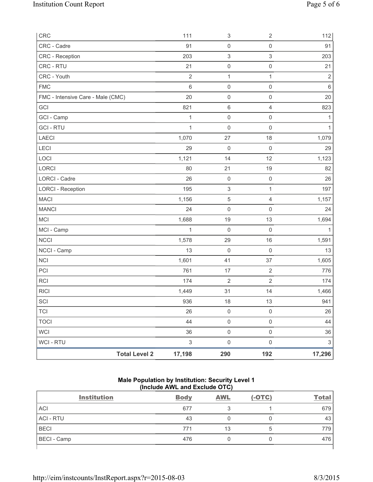| CRC                               |                      | 111            | $\ensuremath{\mathsf{3}}$ | $\sqrt{2}$          | 112                       |
|-----------------------------------|----------------------|----------------|---------------------------|---------------------|---------------------------|
| CRC - Cadre                       |                      | 91             | $\mathsf{O}\xspace$       | $\mathsf{O}\xspace$ | 91                        |
| <b>CRC</b> - Reception            |                      | 203            | $\ensuremath{\mathsf{3}}$ | $\mathsf 3$         | 203                       |
| CRC - RTU                         |                      | 21             | $\mathsf 0$               | $\mathsf{O}\xspace$ | 21                        |
| CRC - Youth                       |                      | $\sqrt{2}$     | $\mathbf{1}$              | $\mathbf{1}$        | $\sqrt{2}$                |
| <b>FMC</b>                        |                      | $6\phantom{1}$ | $\mathsf{O}\xspace$       | 0                   | $\,6\,$                   |
| FMC - Intensive Care - Male (CMC) |                      | 20             | $\mathsf{O}\xspace$       | $\mathsf{O}\xspace$ | 20                        |
| GCI                               |                      | 821            | $\,6\,$                   | 4                   | 823                       |
| GCI - Camp                        |                      | 1              | $\mathsf{O}\xspace$       | $\mathsf{O}\xspace$ | 1                         |
| <b>GCI - RTU</b>                  |                      | 1              | $\mathbf 0$               | $\mathsf{O}\xspace$ | 1                         |
| LAECI                             |                      | 1,070          | 27                        | 18                  | 1,079                     |
| LECI                              |                      | 29             | $\mathsf 0$               | $\mathsf 0$         | 29                        |
| LOCI                              |                      | 1,121          | 14                        | 12                  | 1,123                     |
| <b>LORCI</b>                      |                      | 80             | 21                        | 19                  | 82                        |
| <b>LORCI - Cadre</b>              |                      | 26             | $\mathsf{O}\xspace$       | $\mathsf 0$         | 26                        |
| <b>LORCI - Reception</b>          |                      | 195            | $\ensuremath{\mathsf{3}}$ | $\mathbf{1}$        | 197                       |
| <b>MACI</b>                       |                      | 1,156          | $\,$ 5 $\,$               | $\overline{4}$      | 1,157                     |
| <b>MANCI</b>                      |                      | 24             | $\mathsf 0$               | 0                   | 24                        |
| <b>MCI</b>                        |                      | 1,688          | 19                        | 13                  | 1,694                     |
| MCI - Camp                        |                      | 1              | $\mathsf{O}\xspace$       | $\mathsf 0$         | 1                         |
| <b>NCCI</b>                       |                      | 1,578          | 29                        | 16                  | 1,591                     |
| NCCI - Camp                       |                      | 13             | $\mathsf{O}\xspace$       | $\mathsf{O}\xspace$ | 13                        |
| NCI                               |                      | 1,601          | 41                        | 37                  | 1,605                     |
| PCI                               |                      | 761            | 17                        | $\sqrt{2}$          | 776                       |
| <b>RCI</b>                        |                      | 174            | $\sqrt{2}$                | $\sqrt{2}$          | 174                       |
| <b>RICI</b>                       |                      | 1,449          | 31                        | 14                  | 1,466                     |
| SCI                               |                      | 936            | 18                        | 13                  | 941                       |
| <b>TCI</b>                        |                      | 26             | $\mathsf{O}\xspace$       | $\mathsf 0$         | 26                        |
| <b>TOCI</b>                       |                      | 44             | $\mathsf{O}\xspace$       | $\mathsf{O}\xspace$ | 44                        |
| <b>WCI</b>                        |                      | 36             | $\mathsf{O}\xspace$       | $\mathsf{O}\xspace$ | 36                        |
| <b>WCI - RTU</b>                  |                      | $\mathsf 3$    | $\mathsf{O}\xspace$       | $\mathsf{O}\xspace$ | $\ensuremath{\mathsf{3}}$ |
|                                   | <b>Total Level 2</b> | 17,198         | 290                       | 192                 | 17,296                    |

# **Male Population by Institution: Security Level 1 (Include AWL and Exclude OTC)**

| <b>Institution</b> | <b>Body</b> | <b>AWL</b> | $(-OTC)$ | <b>Total</b> |
|--------------------|-------------|------------|----------|--------------|
| <b>ACI</b>         | 677         | u          |          | 679          |
| <b>ACI - RTU</b>   | 43          |            |          | 43           |
| <b>BECI</b>        | 771         | 13         | b        | 779          |
| <b>BECI</b> - Camp | 476         |            |          | 476          |
|                    |             |            |          |              |